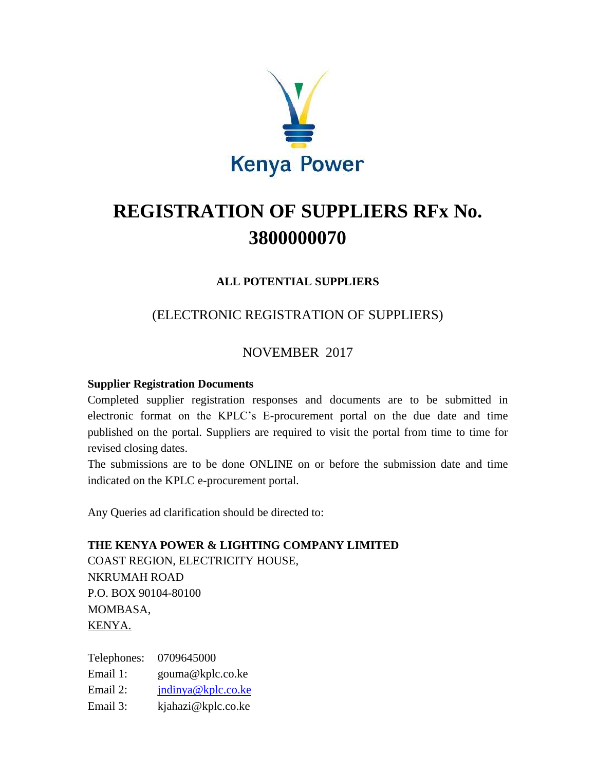

# **REGISTRATION OF SUPPLIERS RFx No. 3800000070**

### **ALL POTENTIAL SUPPLIERS**

# (ELECTRONIC REGISTRATION OF SUPPLIERS)

# NOVEMBER 2017

#### **Supplier Registration Documents**

Completed supplier registration responses and documents are to be submitted in electronic format on the KPLC's E-procurement portal on the due date and time published on the portal. Suppliers are required to visit the portal from time to time for revised closing dates.

The submissions are to be done ONLINE on or before the submission date and time indicated on the KPLC e-procurement portal.

Any Queries ad clarification should be directed to:

# **THE KENYA POWER & LIGHTING COMPANY LIMITED**  COAST REGION, ELECTRICITY HOUSE, NKRUMAH ROAD P.O. BOX 90104-80100 MOMBASA,

KENYA.

Telephones: 0709645000 Email 1: gouma@kplc.co.ke Email 2: [jndinya@kplc.co.ke](mailto:jndinya@kplc.co.ke) Email 3: kjahazi@kplc.co.ke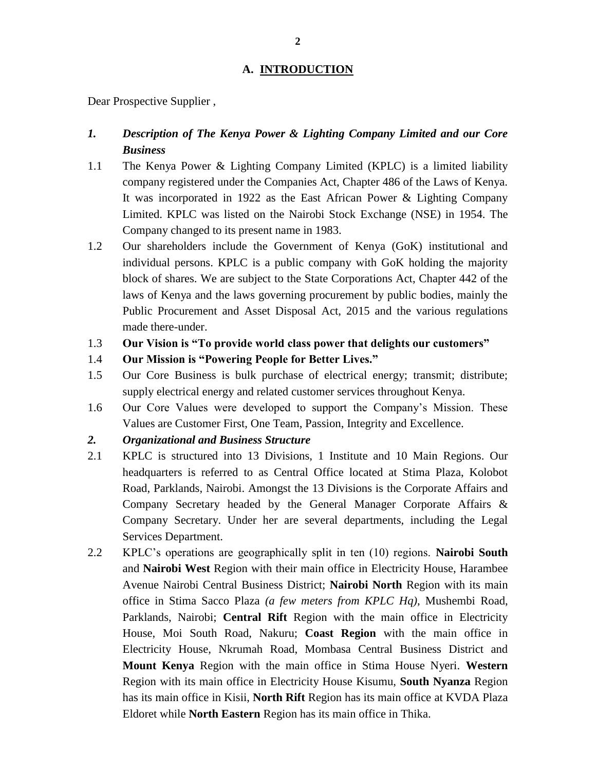#### **A. INTRODUCTION**

Dear Prospective Supplier ,

#### *1. Description of The Kenya Power & Lighting Company Limited and our Core Business*

- 1.1 The Kenya Power & Lighting Company Limited (KPLC) is a limited liability company registered under the Companies Act, Chapter 486 of the Laws of Kenya. It was incorporated in 1922 as the East African Power & Lighting Company Limited. KPLC was listed on the Nairobi Stock Exchange (NSE) in 1954. The Company changed to its present name in 1983.
- 1.2 Our shareholders include the Government of Kenya (GoK) institutional and individual persons. KPLC is a public company with GoK holding the majority block of shares. We are subject to the State Corporations Act, Chapter 442 of the laws of Kenya and the laws governing procurement by public bodies, mainly the Public Procurement and Asset Disposal Act, 2015 and the various regulations made there-under.
- 1.3 **Our Vision is "To provide world class power that delights our customers"**
- 1.4 **Our Mission is "Powering People for Better Lives."**
- 1.5 Our Core Business is bulk purchase of electrical energy; transmit; distribute; supply electrical energy and related customer services throughout Kenya.
- 1.6 Our Core Values were developed to support the Company's Mission. These Values are Customer First, One Team, Passion, Integrity and Excellence.
- *2. Organizational and Business Structure*
- 2.1 KPLC is structured into 13 Divisions, 1 Institute and 10 Main Regions. Our headquarters is referred to as Central Office located at Stima Plaza, Kolobot Road, Parklands, Nairobi. Amongst the 13 Divisions is the Corporate Affairs and Company Secretary headed by the General Manager Corporate Affairs & Company Secretary. Under her are several departments, including the Legal Services Department.
- 2.2 KPLC's operations are geographically split in ten (10) regions. **Nairobi South** and **Nairobi West** Region with their main office in Electricity House, Harambee Avenue Nairobi Central Business District; **Nairobi North** Region with its main office in Stima Sacco Plaza *(a few meters from KPLC Hq)*, Mushembi Road, Parklands, Nairobi; **Central Rift** Region with the main office in Electricity House, Moi South Road, Nakuru; **Coast Region** with the main office in Electricity House, Nkrumah Road, Mombasa Central Business District and **Mount Kenya** Region with the main office in Stima House Nyeri. **Western**  Region with its main office in Electricity House Kisumu, **South Nyanza** Region has its main office in Kisii, **North Rift** Region has its main office at KVDA Plaza Eldoret while **North Eastern** Region has its main office in Thika.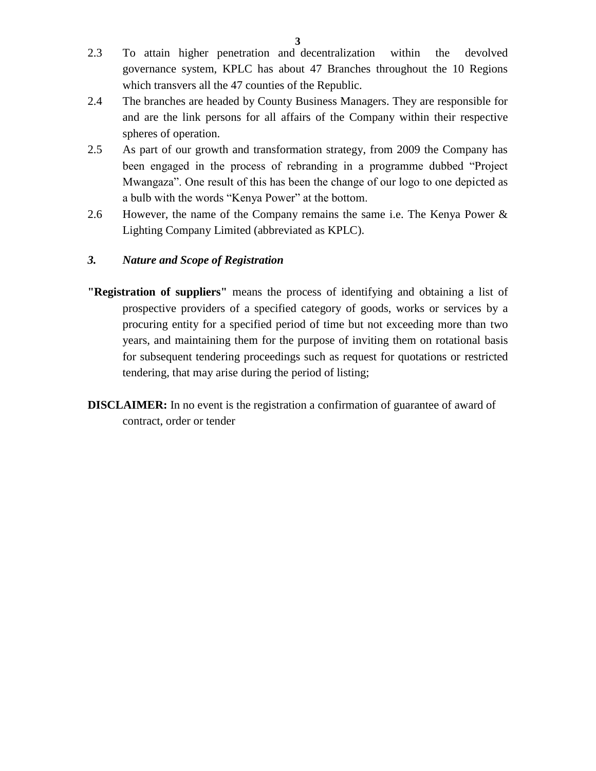- 2.3 To attain higher penetration and decentralization within the devolved governance system, KPLC has about 47 Branches throughout the 10 Regions
- 2.4 The branches are headed by County Business Managers. They are responsible for and are the link persons for all affairs of the Company within their respective spheres of operation.

which transvers all the 47 counties of the Republic.

- 2.5 As part of our growth and transformation strategy, from 2009 the Company has been engaged in the process of rebranding in a programme dubbed "Project Mwangaza". One result of this has been the change of our logo to one depicted as a bulb with the words "Kenya Power" at the bottom.
- 2.6 However, the name of the Company remains the same i.e. The Kenya Power & Lighting Company Limited (abbreviated as KPLC).

#### *3. Nature and Scope of Registration*

- **"Registration of suppliers"** means the process of identifying and obtaining a list of prospective providers of a specified category of goods, works or services by a procuring entity for a specified period of time but not exceeding more than two years, and maintaining them for the purpose of inviting them on rotational basis for subsequent tendering proceedings such as request for quotations or restricted tendering, that may arise during the period of listing;
- **DISCLAIMER:** In no event is the registration a confirmation of guarantee of award of contract, order or tender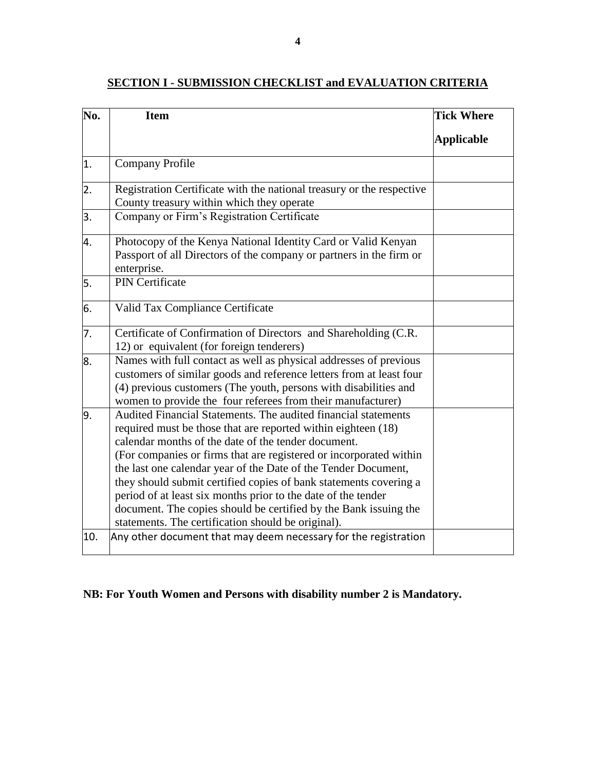# **No. Item Tick Where Applicable**  1. Company Profile 2. Registration Certificate with the national treasury or the respective County treasury within which they operate 3. Company or Firm's Registration Certificate 4. Photocopy of the Kenya National Identity Card or Valid Kenyan Passport of all Directors of the company or partners in the firm or enterprise. 5. PIN Certificate 6. Valid Tax Compliance Certificate 7. Certificate of Confirmation of Directors and Shareholding (C.R. 12) or equivalent (for foreign tenderers) 8. Names with full contact as well as physical addresses of previous customers of similar goods and reference letters from at least four (4) previous customers (The youth, persons with disabilities and women to provide the four referees from their manufacturer) 9. Audited Financial Statements. The audited financial statements required must be those that are reported within eighteen (18) calendar months of the date of the tender document. (For companies or firms that are registered or incorporated within the last one calendar year of the Date of the Tender Document, they should submit certified copies of bank statements covering a period of at least six months prior to the date of the tender document. The copies should be certified by the Bank issuing the statements. The certification should be original). 10.  $\lambda$  Any other document that may deem necessary for the registration

#### **SECTION I - SUBMISSION CHECKLIST and EVALUATION CRITERIA**

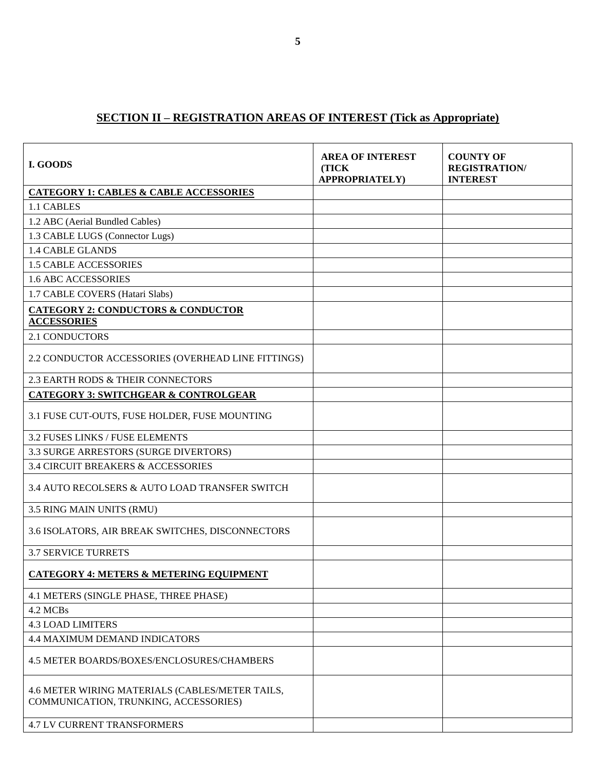## **SECTION II – REGISTRATION AREAS OF INTEREST (Tick as Appropriate)**

| I. GOODS                                                                                 | <b>AREA OF INTEREST</b><br>(TICK<br><b>APPROPRIATELY)</b> | <b>COUNTY OF</b><br><b>REGISTRATION/</b><br><b>INTEREST</b> |
|------------------------------------------------------------------------------------------|-----------------------------------------------------------|-------------------------------------------------------------|
| <b>CATEGORY 1: CABLES &amp; CABLE ACCESSORIES</b>                                        |                                                           |                                                             |
| 1.1 CABLES                                                                               |                                                           |                                                             |
| 1.2 ABC (Aerial Bundled Cables)                                                          |                                                           |                                                             |
| 1.3 CABLE LUGS (Connector Lugs)                                                          |                                                           |                                                             |
| <b>1.4 CABLE GLANDS</b>                                                                  |                                                           |                                                             |
| <b>1.5 CABLE ACCESSORIES</b>                                                             |                                                           |                                                             |
| <b>1.6 ABC ACCESSORIES</b>                                                               |                                                           |                                                             |
| 1.7 CABLE COVERS (Hatari Slabs)                                                          |                                                           |                                                             |
| <b>CATEGORY 2: CONDUCTORS &amp; CONDUCTOR</b><br><b>ACCESSORIES</b>                      |                                                           |                                                             |
| <b>2.1 CONDUCTORS</b>                                                                    |                                                           |                                                             |
| 2.2 CONDUCTOR ACCESSORIES (OVERHEAD LINE FITTINGS)                                       |                                                           |                                                             |
| 2.3 EARTH RODS & THEIR CONNECTORS                                                        |                                                           |                                                             |
| <b>CATEGORY 3: SWITCHGEAR &amp; CONTROLGEAR</b>                                          |                                                           |                                                             |
| 3.1 FUSE CUT-OUTS, FUSE HOLDER, FUSE MOUNTING                                            |                                                           |                                                             |
| 3.2 FUSES LINKS / FUSE ELEMENTS                                                          |                                                           |                                                             |
| 3.3 SURGE ARRESTORS (SURGE DIVERTORS)                                                    |                                                           |                                                             |
| <b>3.4 CIRCUIT BREAKERS &amp; ACCESSORIES</b>                                            |                                                           |                                                             |
| 3.4 AUTO RECOLSERS & AUTO LOAD TRANSFER SWITCH                                           |                                                           |                                                             |
| 3.5 RING MAIN UNITS (RMU)                                                                |                                                           |                                                             |
| 3.6 ISOLATORS, AIR BREAK SWITCHES, DISCONNECTORS                                         |                                                           |                                                             |
| <b>3.7 SERVICE TURRETS</b>                                                               |                                                           |                                                             |
| <b>CATEGORY 4: METERS &amp; METERING EQUIPMENT</b>                                       |                                                           |                                                             |
| 4.1 METERS (SINGLE PHASE, THREE PHASE)                                                   |                                                           |                                                             |
| 4.2 MCBs                                                                                 |                                                           |                                                             |
| <b>4.3 LOAD LIMITERS</b>                                                                 |                                                           |                                                             |
| <b>4.4 MAXIMUM DEMAND INDICATORS</b>                                                     |                                                           |                                                             |
| 4.5 METER BOARDS/BOXES/ENCLOSURES/CHAMBERS                                               |                                                           |                                                             |
| 4.6 METER WIRING MATERIALS (CABLES/METER TAILS,<br>COMMUNICATION, TRUNKING, ACCESSORIES) |                                                           |                                                             |
| <b>4.7 LV CURRENT TRANSFORMERS</b>                                                       |                                                           |                                                             |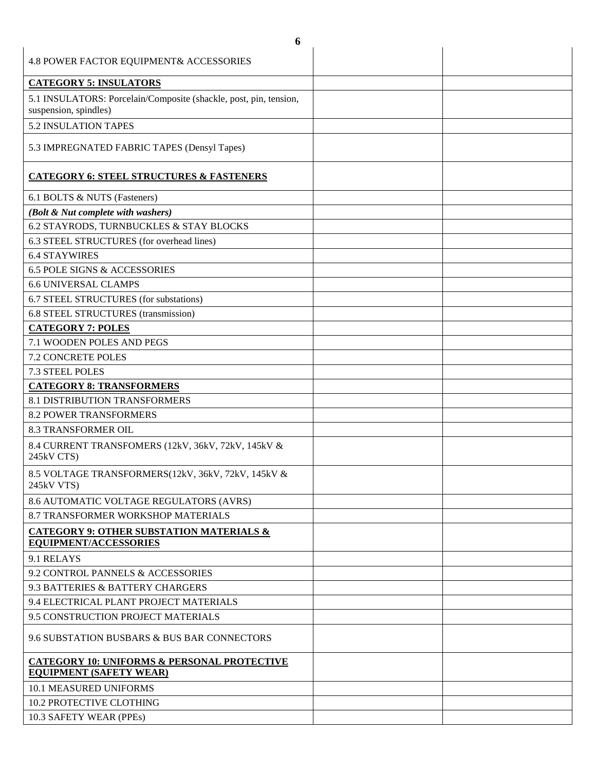| 6                                                                                          |  |
|--------------------------------------------------------------------------------------------|--|
| 4.8 POWER FACTOR EQUIPMENT& ACCESSORIES                                                    |  |
| <b>CATEGORY 5: INSULATORS</b>                                                              |  |
| 5.1 INSULATORS: Porcelain/Composite (shackle, post, pin, tension,<br>suspension, spindles) |  |
| 5.2 INSULATION TAPES                                                                       |  |
| 5.3 IMPREGNATED FABRIC TAPES (Densyl Tapes)                                                |  |
| <b>CATEGORY 6: STEEL STRUCTURES &amp; FASTENERS</b>                                        |  |
| 6.1 BOLTS & NUTS (Fasteners)                                                               |  |
| (Bolt & Nut complete with washers)                                                         |  |
| 6.2 STAYRODS, TURNBUCKLES & STAY BLOCKS                                                    |  |
| 6.3 STEEL STRUCTURES (for overhead lines)                                                  |  |
| <b>6.4 STAYWIRES</b>                                                                       |  |
| <b>6.5 POLE SIGNS &amp; ACCESSORIES</b>                                                    |  |
| <b>6.6 UNIVERSAL CLAMPS</b>                                                                |  |
| 6.7 STEEL STRUCTURES (for substations)                                                     |  |
| 6.8 STEEL STRUCTURES (transmission)                                                        |  |
| <b>CATEGORY 7: POLES</b>                                                                   |  |
| 7.1 WOODEN POLES AND PEGS                                                                  |  |
| <b>7.2 CONCRETE POLES</b>                                                                  |  |
| 7.3 STEEL POLES                                                                            |  |
| <b>CATEGORY 8: TRANSFORMERS</b>                                                            |  |
| <b>8.1 DISTRIBUTION TRANSFORMERS</b>                                                       |  |
| <b>8.2 POWER TRANSFORMERS</b>                                                              |  |
| <b>8.3 TRANSFORMER OIL</b>                                                                 |  |
| 8.4 CURRENT TRANSFOMERS (12kV, 36kV, 72kV, 145kV &<br>245kV CTS)                           |  |
| 8.5 VOLTAGE TRANSFORMERS(12kV, 36kV, 72kV, 145kV &<br>245kV VTS)                           |  |
| 8.6 AUTOMATIC VOLTAGE REGULATORS (AVRS)                                                    |  |
| 8.7 TRANSFORMER WORKSHOP MATERIALS                                                         |  |
| CATEGORY 9: OTHER SUBSTATION MATERIALS &<br><b>EQUIPMENT/ACCESSORIES</b>                   |  |
| 9.1 RELAYS                                                                                 |  |
| 9.2 CONTROL PANNELS & ACCESSORIES                                                          |  |
| 9.3 BATTERIES & BATTERY CHARGERS                                                           |  |
| 9.4 ELECTRICAL PLANT PROJECT MATERIALS                                                     |  |
| 9.5 CONSTRUCTION PROJECT MATERIALS                                                         |  |
| 9.6 SUBSTATION BUSBARS & BUS BAR CONNECTORS                                                |  |
| <b>CATEGORY 10: UNIFORMS &amp; PERSONAL PROTECTIVE</b><br><b>EQUIPMENT (SAFETY WEAR)</b>   |  |
| <b>10.1 MEASURED UNIFORMS</b>                                                              |  |
| 10.2 PROTECTIVE CLOTHING                                                                   |  |
| 10.3 SAFETY WEAR (PPEs)                                                                    |  |